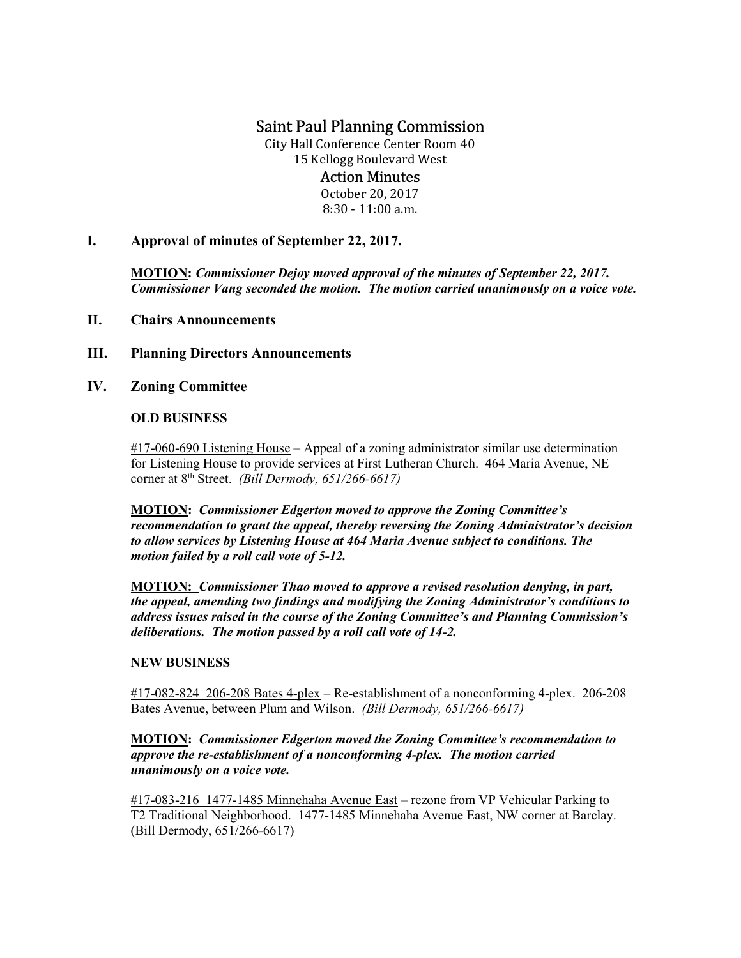# Saint Paul Planning Commission

City Hall Conference Center Room 40 15 Kellogg Boulevard West

# Action Minutes

October 20, 2017  $8:30 - 11:00$  a.m.

I. Approval of minutes of September 22, 2017.

MOTION: Commissioner Dejoy moved approval of the minutes of September 22, 2017. Commissioner Vang seconded the motion. The motion carried unanimously on a voice vote.

- II. Chairs Announcements
- III. Planning Directors Announcements
- IV. Zoning Committee

# OLD BUSINESS

#17-060-690 Listening House – Appeal of a zoning administrator similar use determination for Listening House to provide services at First Lutheran Church. 464 Maria Avenue, NE corner at  $8<sup>th</sup>$  Street. (Bill Dermody, 651/266-6617)

 MOTION: Commissioner Edgerton moved to approve the Zoning Committee's recommendation to grant the appeal, thereby reversing the Zoning Administrator's decision to allow services by Listening House at 464 Maria Avenue subject to conditions. The motion failed by a roll call vote of 5-12.

MOTION: Commissioner Thao moved to approve a revised resolution denying, in part, the appeal, amending two findings and modifying the Zoning Administrator's conditions to address issues raised in the course of the Zoning Committee's and Planning Commission's deliberations. The motion passed by a roll call vote of 14-2.

#### NEW BUSINESS

 #17-082-824 206-208 Bates 4-plex – Re-establishment of a nonconforming 4-plex. 206-208 Bates Avenue, between Plum and Wilson. (Bill Dermody, 651/266-6617)

# MOTION: Commissioner Edgerton moved the Zoning Committee's recommendation to approve the re-establishment of a nonconforming 4-plex. The motion carried unanimously on a voice vote.

#17-083-216 1477-1485 Minnehaha Avenue East – rezone from VP Vehicular Parking to T2 Traditional Neighborhood. 1477-1485 Minnehaha Avenue East, NW corner at Barclay. (Bill Dermody, 651/266-6617)